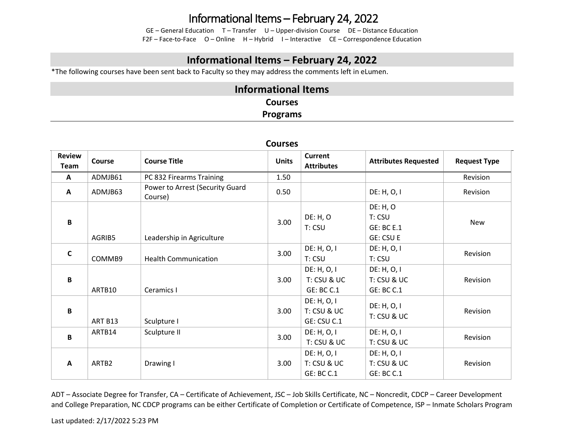# Informational Items – February 24, 2022

GE – General Education T – Transfer U – Upper-division Course DE – Distance Education F2F – Face-to-Face O – Online H – Hybrid I – Interactive CE – Correspondence Education

### **Informational Items – February 24, 2022**

\*The following courses have been sent back to Faculty so they may address the comments left in eLumen.

### **Informational Items Courses Programs**

| CUUI SES              |               |                                            |              |                                                 |                                                             |                     |
|-----------------------|---------------|--------------------------------------------|--------------|-------------------------------------------------|-------------------------------------------------------------|---------------------|
| <b>Review</b><br>Team | <b>Course</b> | <b>Course Title</b>                        | <b>Units</b> | <b>Current</b><br><b>Attributes</b>             | <b>Attributes Requested</b>                                 | <b>Request Type</b> |
| $\mathbf{A}$          | ADMJB61       | PC 832 Firearms Training                   | 1.50         |                                                 |                                                             | Revision            |
| A                     | ADMJB63       | Power to Arrest (Security Guard<br>Course) | 0.50         |                                                 | DE: H, O, I                                                 | Revision            |
| B                     | AGRIB5        | Leadership in Agriculture                  | 3.00         | DE: H, O<br>T: CSU                              | DE: H, O<br>T: CSU<br><b>GE: BC E.1</b><br><b>GE: CSU E</b> | New                 |
| $\mathsf{C}$          | COMMB9        | <b>Health Communication</b>                | 3.00         | DE: H, O, I<br>T: CSU                           | DE: H, O, I<br>T: CSU                                       | Revision            |
| B                     | ARTB10        | Ceramics I                                 | 3.00         | DE: H, O, I<br>T: CSU & UC<br>GE: BC C.1        | DE: H, O, I<br>T: CSU & UC<br><b>GE: BC C.1</b>             | Revision            |
| B                     | ART B13       | Sculpture I                                | 3.00         | DE: H, O, I<br>T: CSU & UC<br>GE: CSU C.1       | DE: H, O, I<br>T: CSU & UC                                  | Revision            |
| B                     | ARTB14        | Sculpture II                               | 3.00         | DE: H, O, I<br>T: CSU & UC                      | DE: H, O, I<br>T: CSU & UC                                  | Revision            |
| A                     | ARTB2         | Drawing I                                  | 3.00         | DE: H, O, I<br>T: CSU & UC<br><b>GE: BC C.1</b> | DE: H, O, I<br>T: CSU & UC<br><b>GE: BC C.1</b>             | Revision            |

#### **Courses**

ADT – Associate Degree for Transfer, CA – Certificate of Achievement, JSC – Job Skills Certificate, NC – Noncredit, CDCP – Career Development and College Preparation, NC CDCP programs can be either Certificate of Completion or Certificate of Competence, ISP – Inmate Scholars Program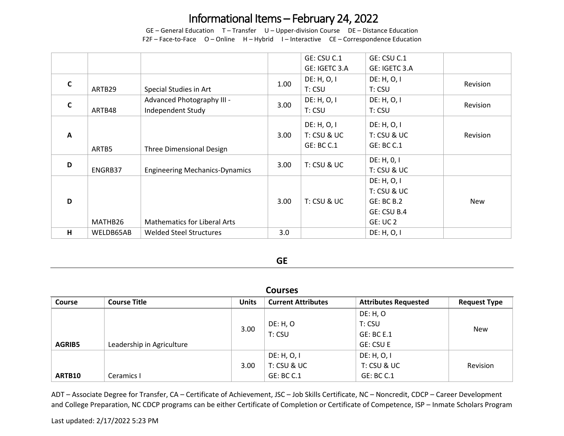# Informational Items – February 24, 2022

GE – General Education T – Transfer U – Upper-division Course DE – Distance Education F2F – Face-to-Face O – Online H – Hybrid I – Interactive CE – Correspondence Education

|              |           |                                       |                   | GE: CSU C.1       | GE: CSU C.1     |            |
|--------------|-----------|---------------------------------------|-------------------|-------------------|-----------------|------------|
|              |           |                                       |                   | GE: IGETC 3.A     | GE: IGETC 3.A   |            |
| $\mathbf c$  |           |                                       | 1.00              | DE: H, O, I       | DE: H, O, I     | Revision   |
|              | ARTB29    | Special Studies in Art                |                   | T: CSU            | T: CSU          |            |
| $\mathbf c$  |           | Advanced Photography III -            | 3.00              | DE: H, O, I       | DE: H, O, I     | Revision   |
|              | ARTB48    | Independent Study                     |                   | T: CSU            | T: CSU          |            |
|              |           |                                       |                   | DE: H, O, I       | DE: H, O, I     |            |
| $\mathbf{A}$ |           |                                       | 3.00 <sub>1</sub> | T: CSU & UC       | $T:$ CSU & UC   | Revision   |
|              |           |                                       |                   | <b>GE: BC C.1</b> | GE: BC C.1      |            |
|              | ARTB5     | Three Dimensional Design              |                   |                   |                 |            |
| D            |           |                                       | 3.00              | T: CSU & UC       | DE: H, 0, 1     |            |
|              | ENGRB37   | <b>Engineering Mechanics-Dynamics</b> |                   |                   | T: CSU & UC     |            |
|              |           |                                       |                   |                   | DE: H, O, I     |            |
|              |           |                                       |                   |                   | T: CSU & UC     |            |
| D            |           |                                       | 3.00              | T: CSU & UC       | GE: BC B.2      | <b>New</b> |
|              |           |                                       |                   |                   | GE: CSU B.4     |            |
|              | MATHB26   | <b>Mathematics for Liberal Arts</b>   |                   |                   | <b>GE: UC 2</b> |            |
| н            | WELDB65AB | <b>Welded Steel Structures</b>        | 3.0               |                   | DE: H, O, I     |            |

#### **GE**

| <b>Courses</b> |                           |              |                           |                             |                     |
|----------------|---------------------------|--------------|---------------------------|-----------------------------|---------------------|
| <b>Course</b>  | <b>Course Title</b>       | <b>Units</b> | <b>Current Attributes</b> | <b>Attributes Requested</b> | <b>Request Type</b> |
|                |                           |              |                           | <b>DE: H, O</b>             |                     |
|                |                           | 3.00         | <b>DE: H, O</b>           | T: CSU                      | <b>New</b>          |
|                |                           |              | T: CSU                    | <b>GE: BC E.1</b>           |                     |
| <b>AGRIB5</b>  | Leadership in Agriculture |              |                           | GE: CSU E                   |                     |
|                |                           |              | DE: H, O, I               | DE: H, O, I                 |                     |
|                |                           | 3.00         | T: CSU & UC               | T: CSU & UC                 | Revision            |
| ARTB10         | Ceramics I                |              | <b>GE: BC C.1</b>         | GE: BC C.1                  |                     |

ADT – Associate Degree for Transfer, CA – Certificate of Achievement, JSC – Job Skills Certificate, NC – Noncredit, CDCP – Career Development and College Preparation, NC CDCP programs can be either Certificate of Completion or Certificate of Competence, ISP – Inmate Scholars Program